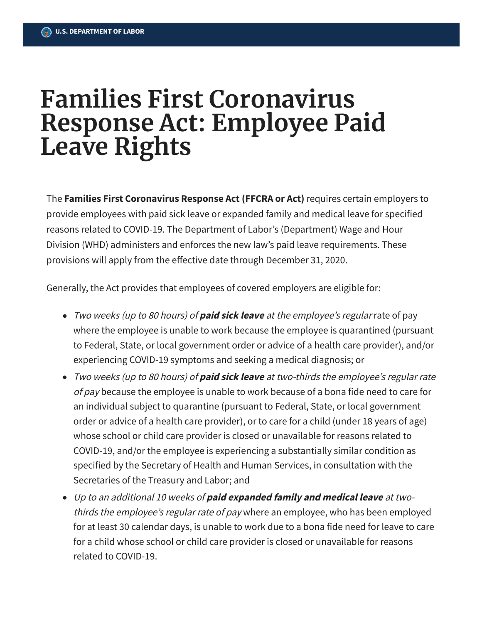## **Families First Coronavirus Response Act: Employee Paid Leave Rights**

The **Families First Coronavirus Response Act (FFCRA or Act)** requires certain employers to provide employees with paid sick leave or expanded family and medical leave for specified reasons related to COVID-19. The Department of Labor's (Department) Wage and Hour Division (WHD) administers and enforces the new law's paid leave requirements. These provisions will apply from the effective date through December 31, 2020.

Generally, the Act provides that employees of covered employers are eligible for:

- Two weeks (up to <sup>80</sup> hours) of **paid sick leave** at the employee's regular rate of pay where the employee is unable to work because the employee is quarantined (pursuant to Federal, State, or local government order or advice of a health care provider), and/or experiencing COVID-19 symptoms and seeking a medical diagnosis; or
- Two weeks (up to <sup>80</sup> hours) of **paid sick leave** at two-thirds the employee's regular rate of pay because the employee is unable to work because of a bona fide need to care for an individual subject to quarantine (pursuant to Federal, State, or local government order or advice of a health care provider), or to care for a child (under 18 years of age) whose school or child care provider is closed or unavailable for reasons related to COVID-19, and/or the employee is experiencing a substantially similar condition as specified by the Secretary of Health and Human Services, in consultation with the Secretaries of the Treasury and Labor; and
- Up to an additional 10 weeks of **paid expanded family and medical leave** at twothirds the employee's regular rate of pay where an employee, who has been employed for at least 30 calendar days, is unable to work due to a bona fide need for leave to care for a child whose school or child care provider is closed or unavailable for reasons related to COVID-19.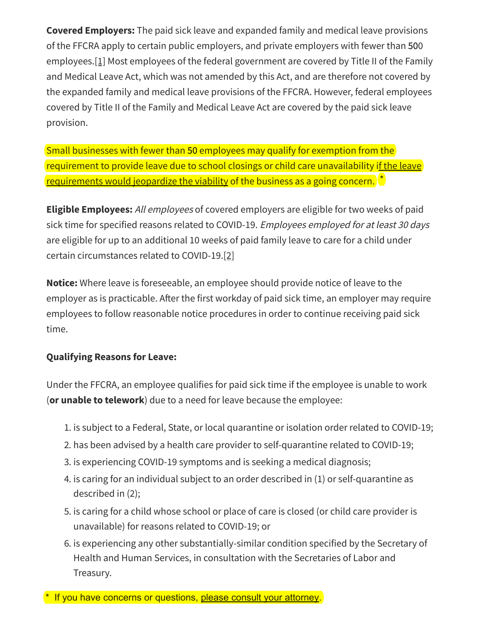**Covered Employers:** The paid sick leave and expanded family and medical leave provisions of the FFCRA apply to certain public employers, and private employers with fewer than 500 employees. [1] Most employees of the federal government are covered by Title II of the Family and Medical Leave Act, which was not amended by this Act, and are therefore not covered by the expanded family and medical leave provisions of the FFCRA. However, federal employees covered by Title II of the Family and Medical Leave Act are covered by the paid sick leave provision.

Small businesses with fewer than 50 employees may qualify for exemption from the requirement to provide leave due to school closings or child care unavailability if the leave requirements would jeopardize the viability of the business as a going concern.

**Eligible Employees:** All employees of covered employers are eligible for two weeks of paid sick time for specified reasons related to COVID-19. Employees employed for at least 30 days are eligible for up to an additional 10 weeks of paid family leave to care for a child under certain circumstances related to COVID-19.[2]

**Notice:** Where leave is foreseeable, an employee should provide notice of leave to the employer as is practicable. After the first workday of paid sick time, an employer may require employees to follow reasonable notice procedures in order to continue receiving paid sick time.

## **Qualifying Reasons for Leave:**

Under the FFCRA, an employee qualifies for paid sick time if the employee is unable to work (or unable to telework) due to a need for leave because the employee:

- 1. is subject to a Federal, State, or local quarantine or isolation order related to COVID-19;
- 2. has been advised by a health care provider to self-quarantine related to COVID-19;
- 3. is experiencing COVID-19 symptoms and is seeking a medical diagnosis;
- 4. is caring for an individual subject to an order described in (1) or self-quarantine as described in  $(2)$ ;
- 5. is caring for a child whose school or place of care is closed (or child care provider is unavailable) for reasons related to COVID-19; or
- 6. is experiencing any other substantially-similar condition specified by the Secretary of Health and Human Services, in consultation with the Secretaries of Labor and Treasury.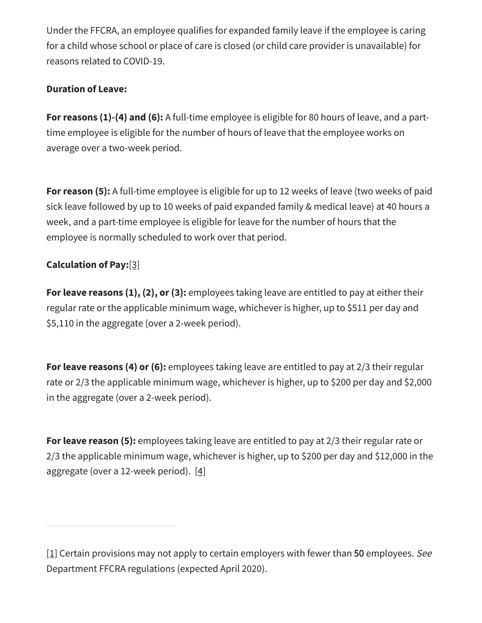Under the FFCRA, an employee qualifies for expanded family leave if the employee is caring for a child whose school or place of care is closed (or child care provider is unavailable) for reasons related to COVID-19.

## **Duration of Leave:**

For reasons (1)-(4) and (6): A full-time employee is eligible for 80 hours of leave, and a parttime employee is eligible for the number of hours of leave that the employee works on average over a two-week period.

For reason (5): A full-time employee is eligible for up to 12 weeks of leave (two weeks of paid sick leave followed by up to 10 weeks of paid expanded family & medical leave) at 40 hours a week, and a part-time employee is eligible for leave for the number of hours that the employee is normally scheduled to work over that period.

## **Calculation of Pay:**[3]

For leave reasons  $(1), (2),$  or  $(3)$ : employees taking leave are entitled to pay at either their regular rate or the applicable minimum wage, whichever is higher, up to \$511 per day and \$5,110 in the aggregate (over a 2-week period).

For leave reasons (4) or (6): employees taking leave are entitled to pay at  $2/3$  their regular rate or 2/3 the applicable minimum wage, whichever is higher, up to \$200 per day and \$2,000 in the aggregate (over a 2-week period).

For leave reason (5): employees taking leave are entitled to pay at 2/3 their regular rate or 2/3 the applicable minimum wage, whichever is higher, up to \$200 per day and \$12,000 in the aggregate (over a 12-week period).  $[4]$ 

<sup>[1]</sup> Certain provisions may not apply to certain employers with fewer than 50 employees. See Department FFCRA regulations (expected April 2020).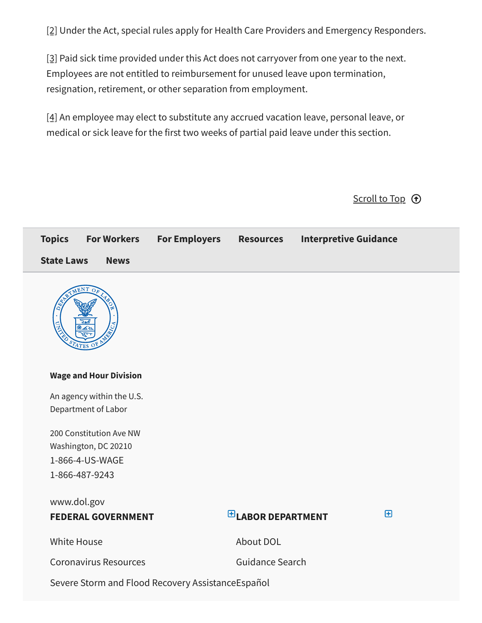[\[2\]](#page--1-1) Under the Act, special rules apply for Health Care Providers and Emergency Responders.

<span id="page-3-0"></span>[\[3\]](#page-2-0) Paid sick time provided under this Act does not carryover from one year to the next. Employees are not entitled to reimbursement for unused leave upon termination, resignation, retirement, or other separation from employment.

<span id="page-3-1"></span>[\[4\]](#page-2-1) An employee may elect to substitute any accrued vacation leave, personal leave, or medical or sick leave for the first two weeks of partial paid leave under this section.

Scroll to Top  $\bigoplus$ 

| <b>Topics</b><br><b>For Workers</b> | <b>For Employers</b>                              | <b>Resources</b>       | <b>Interpretive Guidance</b> |
|-------------------------------------|---------------------------------------------------|------------------------|------------------------------|
| <b>State Laws</b><br><b>News</b>    |                                                   |                        |                              |
| $_{\rm 4TES}$                       |                                                   |                        |                              |
| <b>Wage and Hour Division</b>       |                                                   |                        |                              |
| An agency within the U.S.           |                                                   |                        |                              |
| Department of Labor                 |                                                   |                        |                              |
| 200 Constitution Ave NW             |                                                   |                        |                              |
| Washington, DC 20210                |                                                   |                        |                              |
| 1-866-4-US-WAGE                     |                                                   |                        |                              |
| 1-866-487-9243                      |                                                   |                        |                              |
| www.dol.gov                         |                                                   |                        |                              |
| <b>FEDERAL GOVERNMENT</b>           |                                                   | $E$ LABOR DEPARTMENT   | $\boxplus$                   |
| <b>White House</b>                  |                                                   | About DOL              |                              |
| <b>Coronavirus Resources</b>        |                                                   | <b>Guidance Search</b> |                              |
|                                     | Severe Storm and Flood Recovery AssistanceEspañol |                        |                              |